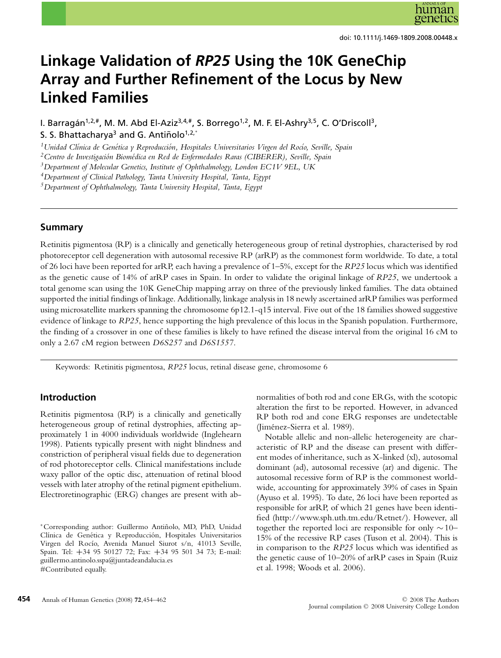# **Linkage Validation of** *RP25* **Using the 10K GeneChip Array and Further Refinement of the Locus by New Linked Families**

I. Barragán<sup>1,2,#</sup>, M. M. Abd El-Aziz<sup>3,4,#</sup>, S. Borrego<sup>1,2</sup>, M. F. El-Ashry<sup>3,5</sup>, C. O'Driscoll<sup>3</sup>, S. S. Bhattacharya<sup>3</sup> and G. Antiñolo<sup>1,2,\*</sup>

<sup>1</sup> Unidad Clínica de Genética y Reproducción, Hospitales Universitarios Virgen del Rocío, Seville, Spain

<sup>2</sup> Centro de Investigación Biomédica en Red de Enfermedades Raras (CIBERER), Seville, Spain

*3Department of Molecular Genetics, Institute of Ophthalmology, London EC1V 9EL, UK*

*4Department of Clinical Pathology, Tanta University Hospital, Tanta, Egypt*

*5Department of Ophthalmology, Tanta University Hospital, Tanta, Egypt*

#### **Summary**

Retinitis pigmentosa (RP) is a clinically and genetically heterogeneous group of retinal dystrophies, characterised by rod photoreceptor cell degeneration with autosomal recessive RP (arRP) as the commonest form worldwide. To date, a total of 26 loci have been reported for arRP, each having a prevalence of 1–5%, except for the *RP25* locus which was identified as the genetic cause of 14% of arRP cases in Spain. In order to validate the original linkage of *RP25*, we undertook a total genome scan using the 10K GeneChip mapping array on three of the previously linked families. The data obtained supported the initial findings of linkage. Additionally, linkage analysis in 18 newly ascertained arRP families was performed using microsatellite markers spanning the chromosome 6p12.1-q15 interval. Five out of the 18 families showed suggestive evidence of linkage to *RP25*, hence supporting the high prevalence of this locus in the Spanish population. Furthermore, the finding of a crossover in one of these families is likely to have refined the disease interval from the original 16 cM to only a 2.67 cM region between *D6S257* and *D6S1557*.

Keywords: Retinitis pigmentosa, *RP25* locus, retinal disease gene, chromosome 6

### **Introduction**

Retinitis pigmentosa (RP) is a clinically and genetically heterogeneous group of retinal dystrophies, affecting approximately 1 in 4000 individuals worldwide (Inglehearn 1998). Patients typically present with night blindness and constriction of peripheral visual fields due to degeneration of rod photoreceptor cells. Clinical manifestations include waxy pallor of the optic disc, attenuation of retinal blood vessels with later atrophy of the retinal pigment epithelium. Electroretinographic (ERG) changes are present with abnormalities of both rod and cone ERGs, with the scotopic alteration the first to be reported. However, in advanced RP both rod and cone ERG responses are undetectable (Jimenez-Sierra et al. 1989). ´

Notable allelic and non-allelic heterogeneity are characteristic of RP and the disease can present with different modes of inheritance, such as X-linked (xl), autosomal dominant (ad), autosomal recessive (ar) and digenic. The autosomal recessive form of RP is the commonest worldwide, accounting for approximately 39% of cases in Spain (Ayuso et al. 1995). To date, 26 loci have been reported as responsible for arRP, of which 21 genes have been identified (http://www.sph.uth.tm.edu/Retnet/). However, all together the reported loci are responsible for only ∼10– 15% of the recessive RP cases (Tuson et al. 2004). This is in comparison to the *RP25* locus which was identified as the genetic cause of 10–20% of arRP cases in Spain (Ruiz et al. 1998; Woods et al. 2006).

<sup>∗</sup>Corresponding author: Guillermo Antinolo, MD, PhD, Unidad ˜ Clínica de Genética y Reproducción, Hospitales Universitarios Virgen del Rocío, Avenida Manuel Siurot s/n, 41013 Seville, Spain. Tel: **+**34 95 50127 72; Fax: **+**34 95 501 34 73; E-mail: guillermo.antinolo.sspa@juntadeandalucia.es #Contributed equally.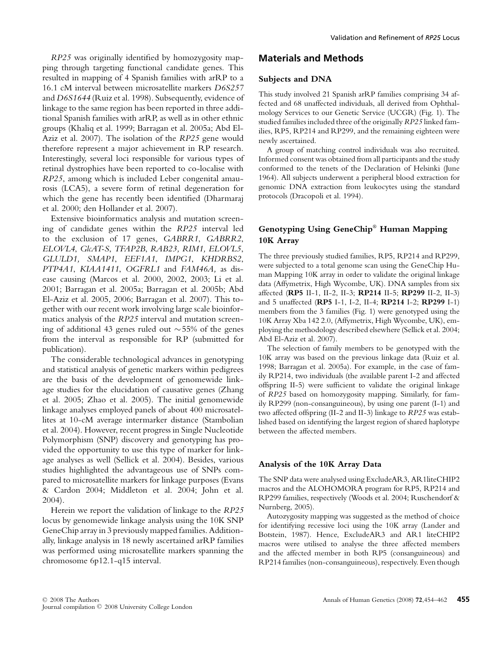*RP25* was originally identified by homozygosity mapping through targeting functional candidate genes. This resulted in mapping of 4 Spanish families with arRP to a 16.1 cM interval between microsatellite markers *D6S257* and *D6S1644* (Ruiz et al. 1998). Subsequently, evidence of linkage to the same region has been reported in three additional Spanish families with arRP, as well as in other ethnic groups (Khaliq et al. 1999; Barragan et al. 2005a; Abd El-Aziz et al. 2007). The isolation of the *RP25* gene would therefore represent a major achievement in RP research. Interestingly, several loci responsible for various types of retinal dystrophies have been reported to co-localise with *RP25*, among which is included Leber congenital amaurosis (LCA5), a severe form of retinal degeneration for which the gene has recently been identified (Dharmaraj et al. 2000; den Hollander et al. 2007).

Extensive bioinformatics analysis and mutation screening of candidate genes within the *RP25* interval led to the exclusion of 17 genes, *GABRR1*, *GABRR2*, *ELOVL4*, *GlcAT-S*, *TFAP2B*, *RAB23, RIM1, ELOVL5*, *GLULD1, SMAP1*, *EEF1A1*, *IMPG1*, *KHDRBS2*, *PTP4A1*, *KIAA1411*, *OGFRL1* and *FAM46A,* as disease causing (Marcos et al. 2000, 2002, 2003; Li et al. 2001; Barragan et al. 2005a; Barragan et al. 2005b; Abd El-Aziz et al. 2005, 2006; Barragan et al. 2007). This together with our recent work involving large scale bioinformatics analysis of the *RP25* interval and mutation screening of additional 43 genes ruled out ∼55% of the genes from the interval as responsible for RP (submitted for publication).

The considerable technological advances in genotyping and statistical analysis of genetic markers within pedigrees are the basis of the development of genomewide linkage studies for the elucidation of causative genes (Zhang et al. 2005; Zhao et al. 2005). The initial genomewide linkage analyses employed panels of about 400 microsatellites at 10-cM average intermarker distance (Stambolian et al. 2004). However, recent progress in Single Nucleotide Polymorphism (SNP) discovery and genotyping has provided the opportunity to use this type of marker for linkage analyses as well (Sellick et al. 2004). Besides, various studies highlighted the advantageous use of SNPs compared to microsatellite markers for linkage purposes (Evans & Cardon 2004; Middleton et al. 2004; John et al. 2004).

Herein we report the validation of linkage to the *RP25* locus by genomewide linkage analysis using the 10K SNP GeneChip array in 3 previously mapped families. Additionally, linkage analysis in 18 newly ascertained arRP families was performed using microsatellite markers spanning the chromosome 6p12.1-q15 interval.

## **Materials and Methods**

#### **Subjects and DNA**

This study involved 21 Spanish arRP families comprising 34 affected and 68 unaffected individuals, all derived from Ophthalmology Services to our Genetic Service (UCGR) (Fig. 1). The studied families included three of the originally *RP25* linked families, RP5, RP214 and RP299, and the remaining eighteen were newly ascertained.

A group of matching control individuals was also recruited. Informed consent was obtained from all participants and the study conformed to the tenets of the Declaration of Helsinki (June 1964). All subjects underwent a peripheral blood extraction for genomic DNA extraction from leukocytes using the standard protocols (Dracopoli et al. 1994).

### **Genotyping Using GeneChip**® **Human Mapping 10K Array**

The three previously studied families, RP5, RP214 and RP299, were subjected to a total genome scan using the GeneChip Human Mapping 10K array in order to validate the original linkage data (Affymetrix, High Wycombe, UK). DNA samples from six affected (**RP5** II-1, II-2, II-3; **RP214** II-5; **RP299** II-2, II-3) and 5 unaffected (**RP5** I-1, I-2, II-4; **RP214** I-2; **RP299** I-1) members from the 3 families (Fig. 1) were genotyped using the 10K Array Xba 142 2.0, (Affymetrix, High Wycombe, UK), employing the methodology described elsewhere (Sellick et al. 2004; Abd El-Aziz et al. 2007).

The selection of family members to be genotyped with the 10K array was based on the previous linkage data (Ruiz et al. 1998; Barragan et al. 2005a). For example, in the case of family RP214, two individuals (the available parent I-2 and affected offspring II-5) were sufficient to validate the original linkage of *RP25* based on homozygosity mapping. Similarly, for family RP299 (non-consanguineous), by using one parent (I-1) and two affected offspring (II-2 and II-3) linkage to *RP25* was established based on identifying the largest region of shared haplotype between the affected members.

#### **Analysis of the 10K Array Data**

The SNP data were analysed using ExcludeAR3, AR1liteCHIP2 macros and the ALOHOMORA program for RP5, RP214 and RP299 families, respectively (Woods et al. 2004; Ruschendorf & Nurnberg, 2005).

Autozygosity mapping was suggested as the method of choice for identifying recessive loci using the 10K array (Lander and Botstein, 1987). Hence, ExcludeAR3 and AR1 liteCHIP2 macros were utilised to analyse the three affected members and the affected member in both RP5 (consanguineous) and RP214 families (non-consanguineous), respectively. Even though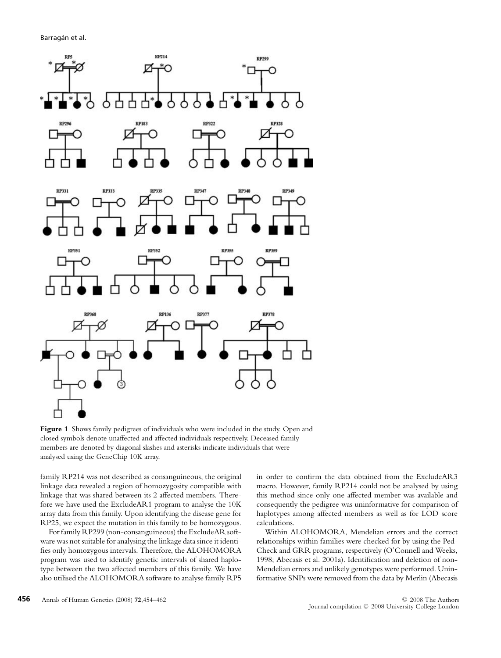

**Figure 1** Shows family pedigrees of individuals who were included in the study. Open and closed symbols denote unaffected and affected individuals respectively. Deceased family members are denoted by diagonal slashes and asterisks indicate individuals that were analysed using the GeneChip 10K array.

family RP214 was not described as consanguineous, the original linkage data revealed a region of homozygosity compatible with linkage that was shared between its 2 affected members. Therefore we have used the ExcludeAR1 program to analyse the 10K array data from this family. Upon identifying the disease gene for RP25, we expect the mutation in this family to be homozygous.

For family RP299 (non-consanguineous) the ExcludeAR software was not suitable for analysing the linkage data since it identifies only homozygous intervals. Therefore, the ALOHOMORA program was used to identify genetic intervals of shared haplotype between the two affected members of this family. We have also utilised the ALOHOMORA software to analyse family RP5 in order to confirm the data obtained from the ExcludeAR3 macro. However, family RP214 could not be analysed by using this method since only one affected member was available and consequently the pedigree was uninformative for comparison of haplotypes among affected members as well as for LOD score calculations.

Within ALOHOMORA, Mendelian errors and the correct relationships within families were checked for by using the Ped-Check and GRR programs, respectively (O'Connell and Weeks, 1998; Abecasis et al. 2001a). Identification and deletion of non-Mendelian errors and unlikely genotypes were performed. Uninformative SNPs were removed from the data by Merlin (Abecasis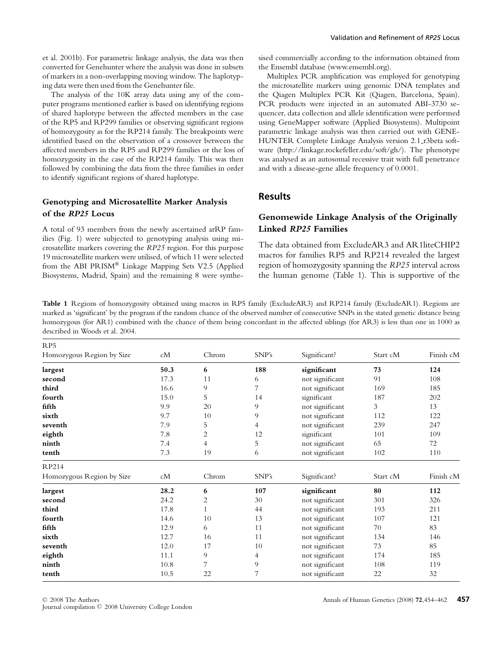et al. 2001b). For parametric linkage analysis, the data was then converted for Genehunter where the analysis was done in subsets of markers in a non-overlapping moving window. The haplotyping data were then used from the Genehunter file.

The analysis of the 10K array data using any of the computer programs mentioned earlier is based on identifying regions of shared haplotype between the affected members in the case of the RP5 and RP299 families or observing significant regions of homozygosity as for the RP214 family. The breakpoints were identified based on the observation of a crossover between the affected members in the RP5 and RP299 families or the loss of homozygosity in the case of the RP214 family. This was then followed by combining the data from the three families in order to identify significant regions of shared haplotype.

### **Genotyping and Microsatellite Marker Analysis of the** *RP25* **Locus**

A total of 93 members from the newly ascertained arRP families (Fig. 1) were subjected to genotyping analysis using microsatellite markers covering the *RP25* region. For this purpose 19 microsatellite markers were utilised, of which 11 were selected from the ABI PRISM® Linkage Mapping Sets V2.5 (Applied Biosystems, Madrid, Spain) and the remaining 8 were synthesised commercially according to the information obtained from the Ensembl database (www.ensembl.org).

Multiplex PCR amplification was employed for genotyping the microsatellite markers using genomic DNA templates and the Qiagen Multiplex PCR Kit (Qiagen, Barcelona, Spain). PCR products were injected in an automated ABI-3730 sequencer, data collection and allele identification were performed using GeneMapper software (Applied Biosystems). Multipoint parametric linkage analysis was then carried out with GENE-HUNTER Complete Linkage Analysis version 2.1 r3beta software (http://linkage.rockefeller.edu/soft/gh/). The phenotype was analysed as an autosomal recessive trait with full penetrance and with a disease-gene allele frequency of 0.0001.

#### **Results**

### **Genomewide Linkage Analysis of the Originally Linked** *RP25* **Families**

The data obtained from ExcludeAR3 and AR1liteCHIP2 macros for families RP5 and RP214 revealed the largest region of homozygosity spanning the *RP25* interval across the human genome (Table 1). This is supportive of the

**Table 1** Regions of homozygosity obtained using macros in RP5 family (ExcludeAR3) and RP214 family (ExcludeAR1). Regions are marked as 'significant' by the program if the random chance of the observed number of consecutive SNPs in the stated genetic distance being homozygous (for AR1) combined with the chance of them being concordant in the affected siblings (for AR3) is less than one in 1000 as described in Woods et al. 2004.

| RP <sub>5</sub>           |      |                |                |                        |          |           |
|---------------------------|------|----------------|----------------|------------------------|----------|-----------|
| Homozygous Region by Size | cM   | Chrom          | SNP's          | Significant?           | Start cM | Finish cM |
| largest                   | 50.3 | 6              | 188            | significant            | 73       | 124       |
| second                    | 17.3 | 11             | 6              | not significant        | 91       | 108       |
| third                     | 16.6 | 9              | 7              | not significant        | 169      | 185       |
| fourth                    | 15.0 | 5              | 14             | significant            | 187      | 202       |
| fifth                     | 9.9  | 20             | 9              | not significant        | 3        |           |
| sixth                     | 9.7  | 10             | 9              | not significant<br>112 |          | 122       |
| seventh                   | 7.9  | 5              | $\overline{4}$ | not significant<br>239 |          | 247       |
| eighth                    | 7.8  | $\overline{2}$ | 12             | significant<br>101     |          | 109       |
| ninth                     | 7.4  | $\overline{4}$ | 5              | not significant<br>65  |          | 72        |
| tenth                     | 7.3  | 19             | 6              | not significant        | 102      | 110       |
| RP214                     |      |                |                |                        |          |           |
| Homozygous Region by Size | cM   | Chrom          | SNP's          | Significant?           | Start cM | Finish cM |
| largest                   | 28.2 | 6              | 107            | significant<br>80      |          | 112       |
| second                    | 24.2 | $\overline{2}$ | 30             | not significant<br>301 |          | 326       |
| third                     | 17.8 | $\mathbf{1}$   | 44             | not significant<br>193 |          | 211       |
| fourth                    | 14.6 | 10             | 13             | not significant<br>107 |          | 121       |
| fifth                     | 12.9 | 6              | 11             | not significant<br>70  |          | 83        |
| sixth                     | 12.7 | 16             | 11             | not significant        | 134      | 146       |
| seventh                   | 12.0 | 17             | 10             | not significant        | 73       | 85        |
| eighth                    | 11.1 | 9              | 4              | not significant        | 174      | 185       |
| ninth                     | 10.8 | 7              | 9              | not significant        | 108      | 119       |
| tenth                     | 10.5 | 22             | 7              | not significant        | 22       | 32        |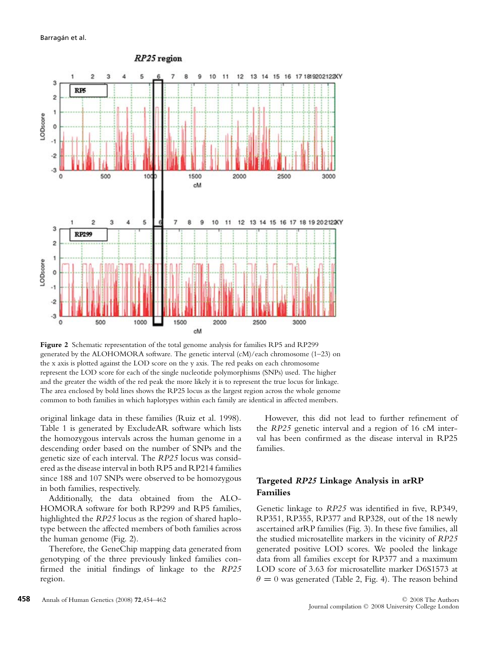

**Figure 2** Schematic representation of the total genome analysis for families RP5 and RP299 generated by the ALOHOMORA software. The genetic interval (cM)/each chromosome (1–23) on the x axis is plotted against the LOD score on the y axis. The red peaks on each chromosome represent the LOD score for each of the single nucleotide polymorphisms (SNPs) used. The higher and the greater the width of the red peak the more likely it is to represent the true locus for linkage. The area enclosed by bold lines shows the RP25 locus as the largest region across the whole genome common to both families in which haplotypes within each family are identical in affected members.

original linkage data in these families (Ruiz et al. 1998). Table 1 is generated by ExcludeAR software which lists the homozygous intervals across the human genome in a descending order based on the number of SNPs and the genetic size of each interval. The *RP25* locus was considered as the disease interval in both RP5 and RP214 families since 188 and 107 SNPs were observed to be homozygous in both families, respectively.

Additionally, the data obtained from the ALO-HOMORA software for both RP299 and RP5 families, highlighted the *RP25* locus as the region of shared haplotype between the affected members of both families across the human genome (Fig. 2).

Therefore, the GeneChip mapping data generated from genotyping of the three previously linked families confirmed the initial findings of linkage to the *RP25* region.

However, this did not lead to further refinement of the *RP25* genetic interval and a region of 16 cM interval has been confirmed as the disease interval in RP25 families.

## **Targeted** *RP25* **Linkage Analysis in arRP Families**

Genetic linkage to *RP25* was identified in five, RP349, RP351, RP355, RP377 and RP328, out of the 18 newly ascertained arRP families (Fig. 3). In these five families, all the studied microsatellite markers in the vicinity of *RP25* generated positive LOD scores. We pooled the linkage data from all families except for RP377 and a maximum LOD score of 3.63 for microsatellite marker D6S1573 at  $\theta = 0$  was generated (Table 2, Fig. 4). The reason behind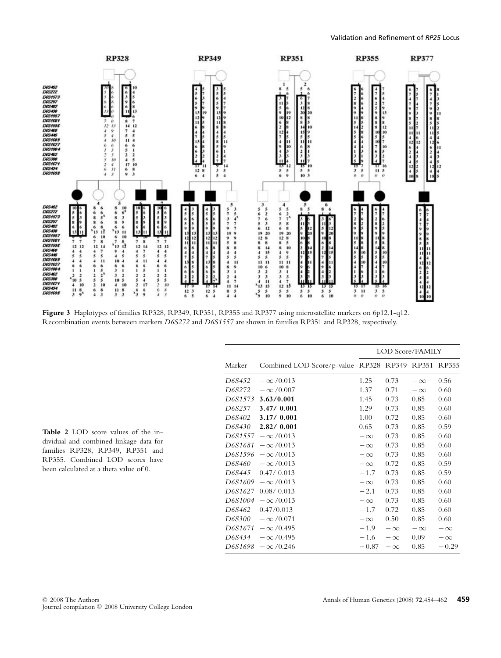

**Figure 3** Haplotypes of families RP328, RP349, RP351, RP355 and RP377 using microsatellite markers on 6p12.1-q12. Recombination events between markers *D6S272* and *D6S1557* are shown in families RP351 and RP328, respectively.

|         |                                              | LOD Score/FAMILY |           |           |           |  |
|---------|----------------------------------------------|------------------|-----------|-----------|-----------|--|
| Marker  | Combined LOD Score/p-value RP328 RP349 RP351 |                  |           |           | RP355     |  |
| D6S452  | $-\infty/0.013$                              | 1.25             | 0.73      | $-\infty$ | 0.56      |  |
| D6S272  | $-\infty/0.007$                              | 1.37             | 0.71      | $-\infty$ | 0.60      |  |
| D6S1573 | 3.63/0.001                                   | 1.45             | 0.73      | 0.85      | 0.60      |  |
| D6S257  | 3.47/0.001                                   | 1.29             | 0.73      | 0.85      | 0.60      |  |
| D6S402  | 3.17/0.001                                   | 1.00             | 0.72      | 0.85      | 0.60      |  |
| D6S430  | 2.82/0.001                                   | 0.65             | 0.73      | 0.85      | 0.59      |  |
| D6S1557 | $-\infty/0.013$                              | $-\infty$        | 0.73      | 0.85      | 0.60      |  |
| D6S1681 | $-\infty/0.013$                              | $-\infty$        | 0.73      | 0.85      | 0.60      |  |
| D6S1596 | $-\infty/0.013$                              | $-\infty$        | 0.73      | 0.85      | 0.60      |  |
| D6S460  | $-\infty/0.013$                              | $-\infty$        | 0.72      | 0.85      | 0.59      |  |
| D6S445  | 0.47/0.013                                   | $-1.7$           | 0.73      | 0.85      | 0.59      |  |
| D6S1609 | $-\infty/0.013$                              | $-\infty$        | 0.73      | 0.85      | 0.60      |  |
| D6S1627 | 0.08/0.013                                   | $-2.1$           | 0.73      | 0.85      | 0.60      |  |
| D6S1004 | $-\infty/0.013$                              | $-\infty$        | 0.73      | 0.85      | 0.60      |  |
| D6S462  | 0.47/0.013                                   | $-1.7$           | 0.72      | 0.85      | 0.60      |  |
| D6S300  | $-\infty/0.071$                              | $-\infty$        | 0.50      | 0.85      | 0.60      |  |
| D6S1671 | $-\infty$ /0.495                             | $-1.9$           | $-\infty$ | $-\infty$ | $-\infty$ |  |
| D6S434  | $-\infty$ /0.495                             | $-1.6$           | $-\infty$ | 0.09      | $-\infty$ |  |
| D6S1698 | $-\infty$ /0.246                             | $-0.87$          | $-\infty$ | 0.85      | $-0.29$   |  |

**Table 2** LOD score values of the individual and combined linkage data for families RP328, RP349, RP351 and RP355. Combined LOD scores have been calculated at a theta value of 0.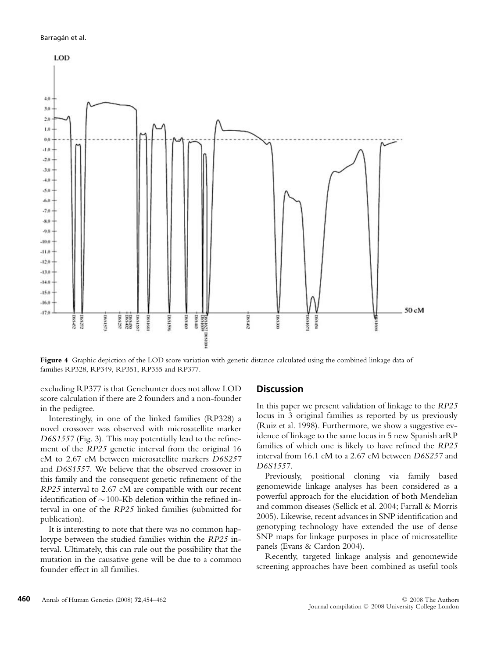#### Barragán et al.



**Figure 4** Graphic depiction of the LOD score variation with genetic distance calculated using the combined linkage data of families RP328, RP349, RP351, RP355 and RP377.

excluding RP377 is that Genehunter does not allow LOD score calculation if there are 2 founders and a non-founder in the pedigree.

Interestingly, in one of the linked families (RP328) a novel crossover was observed with microsatellite marker *D6S1557* (Fig. 3). This may potentially lead to the refinement of the *RP25* genetic interval from the original 16 cM to 2.67 cM between microsatellite markers *D6S257* and *D6S1557*. We believe that the observed crossover in this family and the consequent genetic refinement of the *RP25* interval to 2.67 cM are compatible with our recent identification of ∼100-Kb deletion within the refined interval in one of the *RP25* linked families (submitted for publication).

It is interesting to note that there was no common haplotype between the studied families within the *RP25* interval. Ultimately, this can rule out the possibility that the mutation in the causative gene will be due to a common founder effect in all families.

#### **Discussion**

In this paper we present validation of linkage to the *RP25* locus in 3 original families as reported by us previously (Ruiz et al. 1998). Furthermore, we show a suggestive evidence of linkage to the same locus in 5 new Spanish arRP families of which one is likely to have refined the *RP25* interval from 16.1 cM to a 2.67 cM between *D6S257* and *D6S1557*.

Previously, positional cloning via family based genomewide linkage analyses has been considered as a powerful approach for the elucidation of both Mendelian and common diseases (Sellick et al. 2004; Farrall & Morris 2005). Likewise, recent advances in SNP identification and genotyping technology have extended the use of dense SNP maps for linkage purposes in place of microsatellite panels (Evans & Cardon 2004).

Recently, targeted linkage analysis and genomewide screening approaches have been combined as useful tools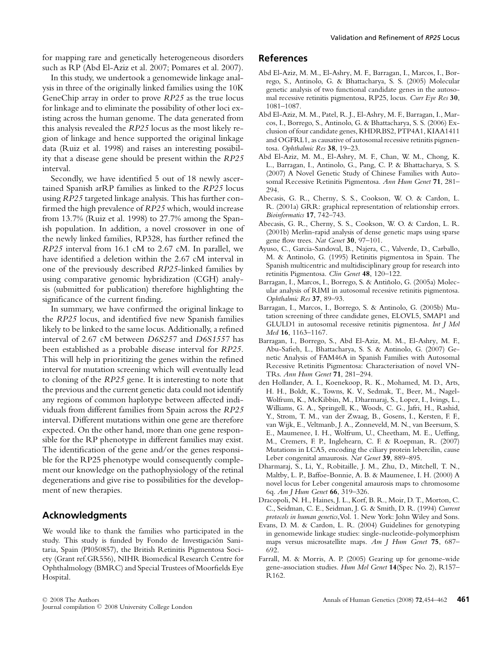for mapping rare and genetically heterogeneous disorders such as RP (Abd El-Aziz et al. 2007; Pomares et al. 2007).

In this study, we undertook a genomewide linkage analysis in three of the originally linked families using the 10K GeneChip array in order to prove *RP25* as the true locus for linkage and to eliminate the possibility of other loci existing across the human genome. The data generated from this analysis revealed the *RP25* locus as the most likely region of linkage and hence supported the original linkage data (Ruiz et al. 1998) and raises an interesting possibility that a disease gene should be present within the *RP25* interval.

Secondly, we have identified 5 out of 18 newly ascertained Spanish arRP families as linked to the *RP25* locus using *RP25* targeted linkage analysis. This has further confirmed the high prevalence of *RP25* which, would increase from 13.7% (Ruiz et al. 1998) to 27.7% among the Spanish population. In addition, a novel crossover in one of the newly linked families, RP328, has further refined the *RP25* interval from 16.1 cM to 2.67 cM. In parallel, we have identified a deletion within the 2.67 cM interval in one of the previously described *RP25*-linked families by using comparative genomic hybridization (CGH) analysis (submitted for publication) therefore highlighting the significance of the current finding.

In summary, we have confirmed the original linkage to the *RP25* locus, and identified five new Spanish families likely to be linked to the same locus. Additionally, a refined interval of 2.67 cM between *D6S257* and *D6S1557* has been established as a probable disease interval for *RP25*. This will help in prioritizing the genes within the refined interval for mutation screening which will eventually lead to cloning of the *RP25* gene. It is interesting to note that the previous and the current genetic data could not identify any regions of common haplotype between affected individuals from different families from Spain across the *RP25* interval. Different mutations within one gene are therefore expected. On the other hand, more than one gene responsible for the RP phenotype in different families may exist. The identification of the gene and/or the genes responsible for the RP25 phenotype would consequently complement our knowledge on the pathophysiology of the retinal degenerations and give rise to possibilities for the development of new therapies.

#### **Acknowledgments**

We would like to thank the families who participated in the study. This study is funded by Fondo de Investigación Sanitaria, Spain (PI050857), the British Retinitis Pigmentosa Society (Grant ref.GR556), NIHR Biomedical Research Centre for Ophthalmology (BMRC) and Special Trustees of Moorfields Eye Hospital.

#### **References**

- Abd El-Aziz, M. M., El-Ashry, M. F., Barragan, I., Marcos, I., Borrego, S., Antinolo, G. & Bhattacharya, S. S. (2005) Molecular genetic analysis of two functional candidate genes in the autosomal recessive retinitis pigmentosa, RP25, locus. *Curr Eye Res* **30**, 1081–1087.
- Abd El-Aziz, M. M., Patel, R. J., El-Ashry, M. F., Barragan, I., Marcos, I., Borrego, S., Antinolo, G. & Bhattacharya, S. S. (2006) Exclusion of four candidate genes, KHDRBS2, PTP4A1, KIAA1411 and OGFRL1, as causative of autosomal recessive retinitis pigmentosa. *Ophthalmic Res* **38**, 19–23.
- Abd El-Aziz, M. M., El-Ashry, M. F., Chan, W. M., Chong, K. L., Barragan, I., Antinolo, G., Pang, C. P. & Bhattacharya, S. S. (2007) A Novel Genetic Study of Chinese Families with Autosomal Recessive Retinitis Pigmentosa. *Ann Hum Genet* **71**, 281– 294.
- Abecasis, G. R., Cherny, S. S., Cookson, W. O. & Cardon, L. R. (2001a) GRR: graphical representation of relationship errors. *Bioinformatics* **17**, 742–743.
- Abecasis, G. R., Cherny, S. S., Cookson, W. O. & Cardon, L. R. (2001b) Merlin-rapid analysis of dense genetic maps using sparse gene flow trees. *Nat Genet* **30**, 97–101.
- Ayuso, C., Garcia-Sandoval, B., Najera, C., Valverde, D., Carballo, M. & Antinolo, G. (1995) Retinitis pigmentosa in Spain. The Spanish multicentric and multidisciplinary group for research into retinitis Pigmentosa. *Clin Genet* **48**, 120–122.
- Barragan, I., Marcos, I., Borrego, S. & Antiñolo, G. (2005a) Molecular analysis of RIMI in autosomal recessive retinitis pigmentosa. *Ophthalmic Res* **37**, 89–93.
- Barragan, I., Marcos, I., Borrego, S. & Antinolo, G. (2005b) Mutation screening of three candidate genes, ELOVL5, SMAP1 and GLULD1 in autosomal recessive retinitis pigmentosa. *Int J Mol Med* **16**, 1163–1167.
- Barragan, I., Borrego, S., Abd El-Aziz, M. M., El-Ashry, M. F., Abu-Safieh, L., Bhattacharya, S. S. & Antinolo, G. (2007) Genetic Analysis of FAM46A in Spanish Families with Autosomal Recessive Retinitis Pigmentosa: Characterisation of novel VN-TRs. *Ann Hum Genet* **71**, 281–294.
- den Hollander, A. I., Koenekoop, R. K., Mohamed, M. D., Arts, H. H., Boldt, K., Towns, K. V., Sedmak, T., Beer, M., Nagel-Wolfrum, K., McKibbin, M., Dharmaraj, S., Lopez, I., Ivings, L., Williams, G. A., Springell, K., Woods, C. G., Jafri, H., Rashid, Y., Strom, T. M., van der Zwaag, B., Gosens, I., Kersten, F. F., van Wijk, E., Veltmanb, J. A., Zonneveld, M. N., van Beersum, S. E., Maumenee, I. H., Wolfrum, U., Cheetham, M. E., Ueffing, M., Cremers, F. P., Inglehearn, C. F. & Roepman, R. (2007) Mutations in LCA5, encoding the ciliary protein lebercilin, cause Leber congenital amaurosis. *Nat Genet* **39**, 889–895.
- Dharmaraj, S., Li, Y., Robitaille, J. M., Zhu, D., Mitchell, T. N., Maltby, L. P., Baffoe-Bonnie, A. B. & Maumenee, I. H. (2000) A novel locus for Leber congenital amaurosis maps to chromosome 6q. *Am J Hum Genet* **66**, 319–326.
- Dracopoli, N. H., Haines, J. L., Korf, B. R., Moir, D. T., Morton, C. C., Seidman, C. E., Seidman, J. G. & Smith, D. R. (1994) *Current protocols in human genetics*,Vol. 1. New York: John Wiley and Sons.
- Evans, D. M. & Cardon, L. R. (2004) Guidelines for genotyping in genomewide linkage studies: single-nucleotide-polymorphism maps versus microsatellite maps. *Am J Hum Genet* **75**, 687– 692.
- Farrall, M. & Morris, A. P. (2005) Gearing up for genome-wide gene-association studies. *Hum Mol Genet* **14**(Spec No. 2), R157– R162.